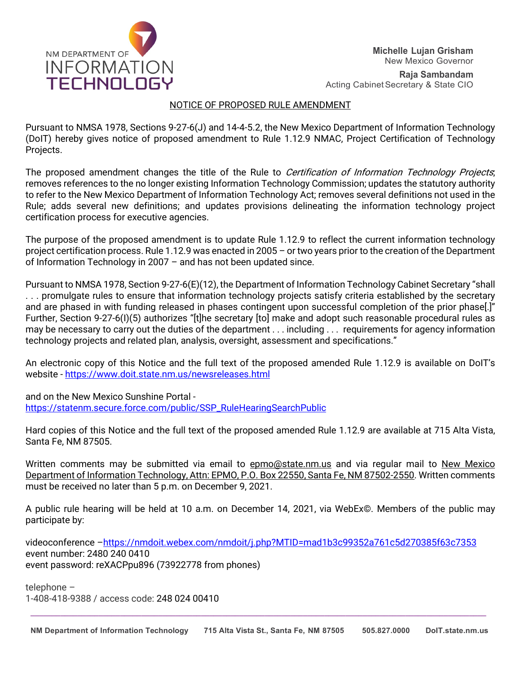

**Raja Sambandam** Acting Cabinet Secretary & State CIO

# NOTICE OF PROPOSED RULE AMENDMENT

Pursuant to NMSA 1978, Sections 9-27-6(J) and 14-4-5.2, the New Mexico Department of Information Technology (DoIT) hereby gives notice of proposed amendment to Rule 1.12.9 NMAC, Project Certification of Technology Projects.

The proposed amendment changes the title of the Rule to Certification of Information Technology Projects; removes references to the no longer existing Information Technology Commission; updates the statutory authority to refer to the New Mexico Department of Information Technology Act; removes several definitions not used in the Rule; adds several new definitions; and updates provisions delineating the information technology project certification process for executive agencies.

The purpose of the proposed amendment is to update Rule 1.12.9 to reflect the current information technology project certification process. Rule 1.12.9 was enacted in 2005 – or two years prior to the creation of the Department of Information Technology in 2007 – and has not been updated since.

Pursuant to NMSA 1978, Section 9-27-6(E)(12), the Department of Information Technology Cabinet Secretary "shall . . . promulgate rules to ensure that information technology projects satisfy criteria established by the secretary and are phased in with funding released in phases contingent upon successful completion of the prior phase[.]" Further, Section 9-27-6(I)(5) authorizes "[t]he secretary [to] make and adopt such reasonable procedural rules as may be necessary to carry out the duties of the department . . . including . . . requirements for agency information technology projects and related plan, analysis, oversight, assessment and specifications."

An electronic copy of this Notice and the full text of the proposed amended Rule 1.12.9 is available on DoIT's website - <https://www.doit.state.nm.us/newsreleases.html>

and on the New Mexico Sunshine Portal [https://statenm.secure.force.com/public/SSP\\_RuleHearingSearchPublic](https://statenm.secure.force.com/public/SSP_RuleHearingSearchPublic)

Hard copies of this Notice and the full text of the proposed amended Rule 1.12.9 are available at 715 Alta Vista, Santa Fe, NM 87505.

Written comments may be submitted via email to epmo@state.nm.us and via regular mail to New Mexico Department of Information Technology, Attn: EPMO, P.O. Box 22550, Santa Fe, NM 87502-2550. Written comments must be received no later than 5 p.m. on December 9, 2021.

A public rule hearing will be held at 10 a.m. on December 14, 2021, via WebEx©. Members of the public may participate by:

videoconference [–https://nmdoit.webex.com/nmdoit/j.php?MTID=mad1b3c99352a761c5d270385f63c7353](https://nmdoit.webex.com/nmdoit/j.php?MTID=mad1b3c99352a761c5d270385f63c7353) event number: 2480 240 0410 event password: reXACPpu896 (73922778 from phones)

telephone – 1-408-418-9388 / access code: 248 024 00410

**\_\_\_\_\_\_\_\_\_\_\_\_\_\_\_\_\_\_\_\_\_\_\_\_\_\_\_\_\_\_\_\_\_\_\_\_\_\_\_\_\_\_\_\_\_\_\_\_\_\_\_\_\_\_\_\_\_\_\_\_\_\_\_\_\_\_\_\_\_\_\_\_\_\_\_\_\_\_\_\_\_\_\_\_\_\_\_\_\_\_\_\_\_\_\_\_\_\_\_\_\_\_\_\_\_\_\_**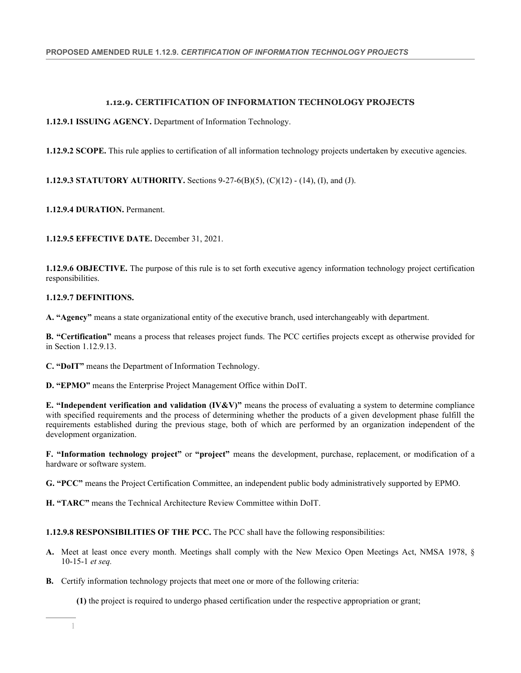# **1.12.9. CERTIFICATION OF INFORMATION TECHNOLOGY PROJECTS**

**1.12.9.1 ISSUING AGENCY.** Department of Information Technology.

**1.12.9.2 SCOPE.** This rule applies to certification of all information technology projects undertaken by executive agencies.

**1.12.9.3 STATUTORY AUTHORITY.** Sections 9-27-6(B)(5), (C)(12) - (14), (I), and (J).

**1.12.9.4 DURATION.** Permanent.

**1.12.9.5 EFFECTIVE DATE.** December 31, 2021.

**1.12.9.6 OBJECTIVE.** The purpose of this rule is to set forth executive agency information technology project certification responsibilities.

### **1.12.9.7 DEFINITIONS.**

**A. "Agency"** means a state organizational entity of the executive branch, used interchangeably with department.

**B. "Certification"** means a process that releases project funds. The PCC certifies projects except as otherwise provided for in Section 1.12.9.13.

**C. "DoIT"** means the Department of Information Technology.

**D. "EPMO"** means the Enterprise Project Management Office within DoIT.

**E. "Independent verification and validation (IV&V)"** means the process of evaluating a system to determine compliance with specified requirements and the process of determining whether the products of a given development phase fulfill the requirements established during the previous stage, both of which are performed by an organization independent of the development organization.

**F. "Information technology project"** or **"project"** means the development, purchase, replacement, or modification of a hardware or software system.

**G. "PCC"** means the Project Certification Committee, an independent public body administratively supported by EPMO.

**H. "TARC"** means the Technical Architecture Review Committee within DoIT.

**1.12.9.8 RESPONSIBILITIES OF THE PCC.** The PCC shall have the following responsibilities:

- **A.** Meet at least once every month. Meetings shall comply with the New Mexico Open Meetings Act, NMSA 1978, § 10-15-1 *et seq.*
- **B.** Certify information technology projects that meet one or more of the following criteria:

**(1)** the project is required to undergo phased certification under the respective appropriation or grant;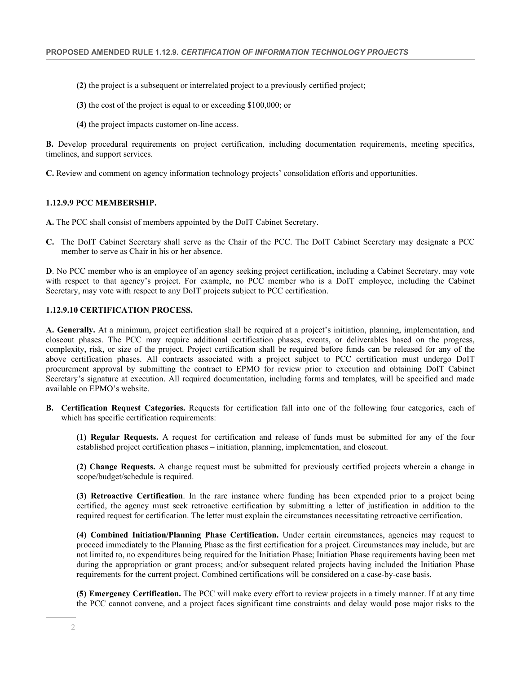- **(2)** the project is a subsequent or interrelated project to a previously certified project;
- **(3)** the cost of the project is equal to or exceeding \$100,000; or
- **(4)** the project impacts customer on-line access.

**B.** Develop procedural requirements on project certification, including documentation requirements, meeting specifics, timelines, and support services.

**C.** Review and comment on agency information technology projects' consolidation efforts and opportunities.

#### **1.12.9.9 PCC MEMBERSHIP.**

- **A.** The PCC shall consist of members appointed by the DoIT Cabinet Secretary.
- **C.** The DoIT Cabinet Secretary shall serve as the Chair of the PCC. The DoIT Cabinet Secretary may designate a PCC member to serve as Chair in his or her absence.

**D**. No PCC member who is an employee of an agency seeking project certification, including a Cabinet Secretary. may vote with respect to that agency's project. For example, no PCC member who is a DoIT employee, including the Cabinet Secretary, may vote with respect to any DoIT projects subject to PCC certification.

### **1.12.9.10 CERTIFICATION PROCESS.**

**A. Generally.** At a minimum, project certification shall be required at a project's initiation, planning, implementation, and closeout phases. The PCC may require additional certification phases, events, or deliverables based on the progress, complexity, risk, or size of the project. Project certification shall be required before funds can be released for any of the above certification phases. All contracts associated with a project subject to PCC certification must undergo DoIT procurement approval by submitting the contract to EPMO for review prior to execution and obtaining DoIT Cabinet Secretary's signature at execution. All required documentation, including forms and templates, will be specified and made available on EPMO's website.

**B. Certification Request Categories.** Requests for certification fall into one of the following four categories, each of which has specific certification requirements:

**(1) Regular Requests.** A request for certification and release of funds must be submitted for any of the four established project certification phases – initiation, planning, implementation, and closeout.

**(2) Change Requests.** A change request must be submitted for previously certified projects wherein a change in scope/budget/schedule is required.

**(3) Retroactive Certification**. In the rare instance where funding has been expended prior to a project being certified, the agency must seek retroactive certification by submitting a letter of justification in addition to the required request for certification. The letter must explain the circumstances necessitating retroactive certification.

**(4) Combined Initiation/Planning Phase Certification.** Under certain circumstances, agencies may request to proceed immediately to the Planning Phase as the first certification for a project. Circumstances may include, but are not limited to, no expenditures being required for the Initiation Phase; Initiation Phase requirements having been met during the appropriation or grant process; and/or subsequent related projects having included the Initiation Phase requirements for the current project. Combined certifications will be considered on a case-by-case basis.

**(5) Emergency Certification.** The PCC will make every effort to review projects in a timely manner. If at any time the PCC cannot convene, and a project faces significant time constraints and delay would pose major risks to the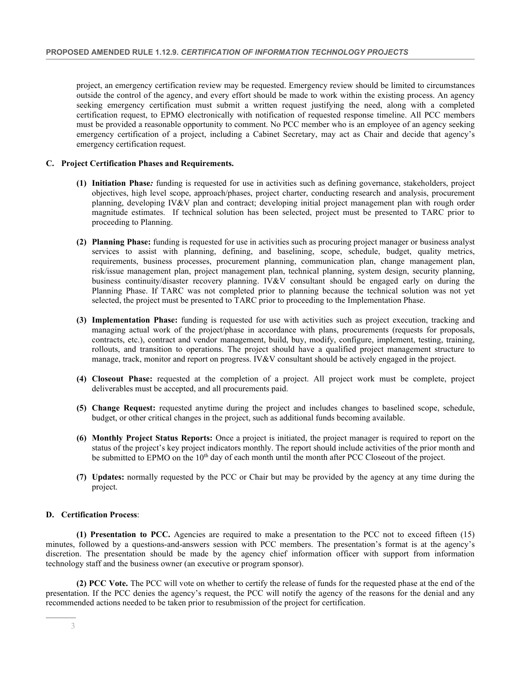project, an emergency certification review may be requested. Emergency review should be limited to circumstances outside the control of the agency, and every effort should be made to work within the existing process. An agency seeking emergency certification must submit a written request justifying the need, along with a completed certification request, to EPMO electronically with notification of requested response timeline. All PCC members must be provided a reasonable opportunity to comment. No PCC member who is an employee of an agency seeking emergency certification of a project, including a Cabinet Secretary, may act as Chair and decide that agency's emergency certification request.

#### **C. Project Certification Phases and Requirements.**

- **(1) Initiation Phase***:* funding is requested for use in activities such as defining governance, stakeholders, project objectives, high level scope, approach/phases, project charter, conducting research and analysis, procurement planning, developing IV&V plan and contract; developing initial project management plan with rough order magnitude estimates. If technical solution has been selected, project must be presented to TARC prior to proceeding to Planning.
- **(2) Planning Phase:** funding is requested for use in activities such as procuring project manager or business analyst services to assist with planning, defining, and baselining, scope, schedule, budget, quality metrics, requirements, business processes, procurement planning, communication plan, change management plan, risk/issue management plan, project management plan, technical planning, system design, security planning, business continuity/disaster recovery planning. IV&V consultant should be engaged early on during the Planning Phase. If TARC was not completed prior to planning because the technical solution was not yet selected, the project must be presented to TARC prior to proceeding to the Implementation Phase.
- **(3) Implementation Phase:** funding is requested for use with activities such as project execution, tracking and managing actual work of the project/phase in accordance with plans, procurements (requests for proposals, contracts, etc.), contract and vendor management, build, buy, modify, configure, implement, testing, training, rollouts, and transition to operations. The project should have a qualified project management structure to manage, track, monitor and report on progress. IV&V consultant should be actively engaged in the project.
- **(4) Closeout Phase:** requested at the completion of a project. All project work must be complete, project deliverables must be accepted, and all procurements paid.
- **(5) Change Request:** requested anytime during the project and includes changes to baselined scope, schedule, budget, or other critical changes in the project, such as additional funds becoming available.
- **(6) Monthly Project Status Reports:** Once a project is initiated, the project manager is required to report on the status of the project's key project indicators monthly. The report should include activities of the prior month and be submitted to EPMO on the  $10<sup>th</sup>$  day of each month until the month after PCC Closeout of the project.
- **(7) Updates:** normally requested by the PCC or Chair but may be provided by the agency at any time during the project.

## **D. Certification Process**:

**(1) Presentation to PCC.** Agencies are required to make a presentation to the PCC not to exceed fifteen (15) minutes, followed by a questions-and-answers session with PCC members. The presentation's format is at the agency's discretion. The presentation should be made by the agency chief information officer with support from information technology staff and the business owner (an executive or program sponsor).

**(2) PCC Vote.** The PCC will vote on whether to certify the release of funds for the requested phase at the end of the presentation. If the PCC denies the agency's request, the PCC will notify the agency of the reasons for the denial and any recommended actions needed to be taken prior to resubmission of the project for certification.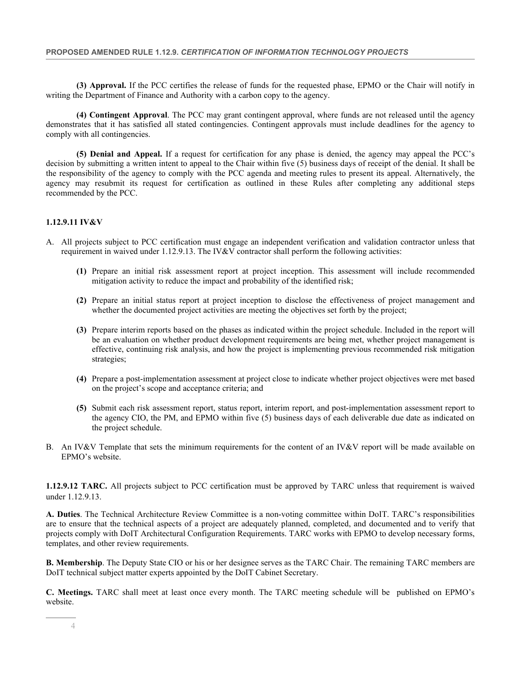**(3) Approval.** If the PCC certifies the release of funds for the requested phase, EPMO or the Chair will notify in writing the Department of Finance and Authority with a carbon copy to the agency.

**(4) Contingent Approval**. The PCC may grant contingent approval, where funds are not released until the agency demonstrates that it has satisfied all stated contingencies. Contingent approvals must include deadlines for the agency to comply with all contingencies.

**(5) Denial and Appeal.** If a request for certification for any phase is denied, the agency may appeal the PCC's decision by submitting a written intent to appeal to the Chair within five (5) business days of receipt of the denial. It shall be the responsibility of the agency to comply with the PCC agenda and meeting rules to present its appeal. Alternatively, the agency may resubmit its request for certification as outlined in these Rules after completing any additional steps recommended by the PCC.

### **1.12.9.11 IV&V**

- A. All projects subject to PCC certification must engage an independent verification and validation contractor unless that requirement in waived under 1.12.9.13. The IV&V contractor shall perform the following activities:
	- **(1)** Prepare an initial risk assessment report at project inception. This assessment will include recommended mitigation activity to reduce the impact and probability of the identified risk;
	- **(2)** Prepare an initial status report at project inception to disclose the effectiveness of project management and whether the documented project activities are meeting the objectives set forth by the project;
	- **(3)** Prepare interim reports based on the phases as indicated within the project schedule. Included in the report will be an evaluation on whether product development requirements are being met, whether project management is effective, continuing risk analysis, and how the project is implementing previous recommended risk mitigation strategies;
	- **(4)** Prepare a post-implementation assessment at project close to indicate whether project objectives were met based on the project's scope and acceptance criteria; and
	- **(5)** Submit each risk assessment report, status report, interim report, and post-implementation assessment report to the agency CIO, the PM, and EPMO within five (5) business days of each deliverable due date as indicated on the project schedule.
- B. An IV&V Template that sets the minimum requirements for the content of an IV&V report will be made available on EPMO's website.

**1.12.9.12 TARC.** All projects subject to PCC certification must be approved by TARC unless that requirement is waived under 1.12.9.13.

**A. Duties**. The Technical Architecture Review Committee is a non-voting committee within DoIT. TARC's responsibilities are to ensure that the technical aspects of a project are adequately planned, completed, and documented and to verify that projects comply with DoIT Architectural Configuration Requirements. TARC works with EPMO to develop necessary forms, templates, and other review requirements.

**B. Membership**. The Deputy State CIO or his or her designee serves as the TARC Chair. The remaining TARC members are DoIT technical subject matter experts appointed by the DoIT Cabinet Secretary.

**C. Meetings.** TARC shall meet at least once every month. The TARC meeting schedule will be published on EPMO's website.